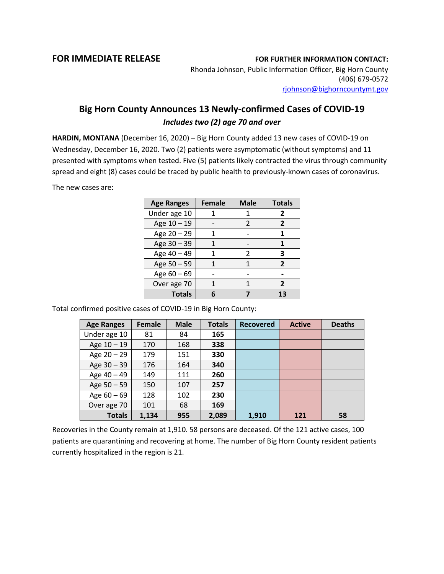## **FOR IMMEDIATE RELEASE FOR FURTHER INFORMATION CONTACT:**

Rhonda Johnson, Public Information Officer, Big Horn County (406) 679-0572 [rjohnson@bighorncountymt.gov](mailto:rjohnson@bighorncountymt.gov)

## **Big Horn County Announces 13 Newly-confirmed Cases of COVID-19** *Includes two (2) age 70 and over*

**HARDIN, MONTANA** (December 16, 2020) – Big Horn County added 13 new cases of COVID-19 on Wednesday, December 16, 2020. Two (2) patients were asymptomatic (without symptoms) and 11 presented with symptoms when tested. Five (5) patients likely contracted the virus through community spread and eight (8) cases could be traced by public health to previously-known cases of coronavirus.

The new cases are:

| <b>Age Ranges</b> | <b>Female</b> | <b>Male</b> | <b>Totals</b>  |
|-------------------|---------------|-------------|----------------|
| Under age 10      |               |             | 2              |
| Age 10 - 19       |               | 2           | 2              |
| Age 20 - 29       |               |             |                |
| Age 30 - 39       |               |             | 1              |
| Age 40 - 49       |               | 2           | 3              |
| Age 50 - 59       |               | 1           | $\overline{2}$ |
| Age 60 - 69       |               |             |                |
| Over age 70       |               |             | 2              |
| <b>Totals</b>     |               |             | 13             |

Total confirmed positive cases of COVID-19 in Big Horn County:

| <b>Age Ranges</b> | Female | <b>Male</b> | <b>Totals</b> | <b>Recovered</b> | <b>Active</b> | <b>Deaths</b> |
|-------------------|--------|-------------|---------------|------------------|---------------|---------------|
| Under age 10      | 81     | 84          | 165           |                  |               |               |
| Age $10 - 19$     | 170    | 168         | 338           |                  |               |               |
| Age $20 - 29$     | 179    | 151         | 330           |                  |               |               |
| Age 30 - 39       | 176    | 164         | 340           |                  |               |               |
| Age 40 - 49       | 149    | 111         | 260           |                  |               |               |
| Age $50 - 59$     | 150    | 107         | 257           |                  |               |               |
| Age $60 - 69$     | 128    | 102         | 230           |                  |               |               |
| Over age 70       | 101    | 68          | 169           |                  |               |               |
| <b>Totals</b>     | 1,134  | 955         | 2,089         | 1,910            | 121           | 58            |

Recoveries in the County remain at 1,910. 58 persons are deceased. Of the 121 active cases, 100 patients are quarantining and recovering at home. The number of Big Horn County resident patients currently hospitalized in the region is 21.